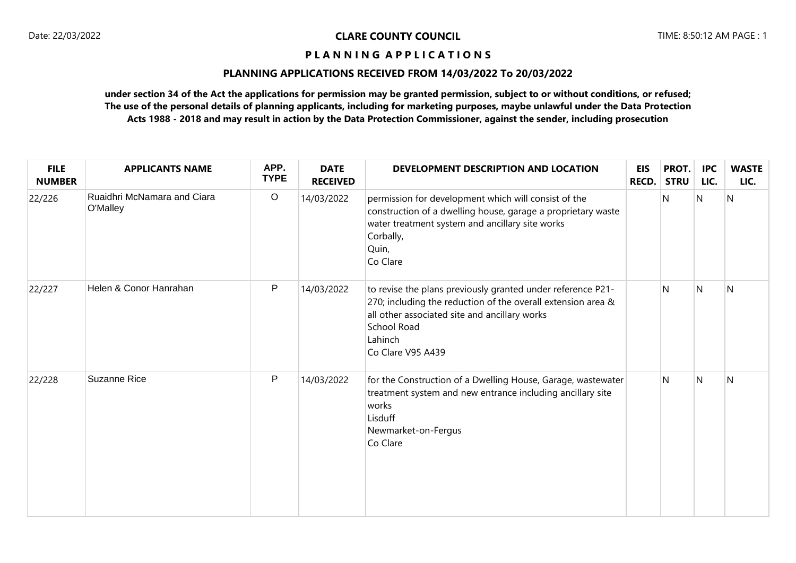## **PLANNING APPLICATIONS RECEIVED FROM 14/03/2022 To 20/03/2022**

| <b>FILE</b><br><b>NUMBER</b> | <b>APPLICANTS NAME</b>                  | APP.<br><b>TYPE</b> | <b>DATE</b><br><b>RECEIVED</b> | DEVELOPMENT DESCRIPTION AND LOCATION                                                                                                                                                                                               | <b>EIS</b><br><b>RECD.</b> | PROT.<br><b>STRU</b> | <b>IPC</b><br>LIC. | <b>WASTE</b><br>LIC.    |
|------------------------------|-----------------------------------------|---------------------|--------------------------------|------------------------------------------------------------------------------------------------------------------------------------------------------------------------------------------------------------------------------------|----------------------------|----------------------|--------------------|-------------------------|
| 22/226                       | Ruaidhri McNamara and Ciara<br>O'Malley | $\circ$             | 14/03/2022                     | permission for development which will consist of the<br>construction of a dwelling house, garage a proprietary waste<br>water treatment system and ancillary site works<br>Corbally,<br>Quin,<br>Co Clare                          |                            | N                    | N                  | $\overline{\mathsf{N}}$ |
| 22/227                       | Helen & Conor Hanrahan                  | P                   | 14/03/2022                     | to revise the plans previously granted under reference P21-<br>270; including the reduction of the overall extension area &<br>all other associated site and ancillary works<br><b>School Road</b><br>Lahinch<br>Co Clare V95 A439 |                            | N                    | N                  | N                       |
| 22/228                       | <b>Suzanne Rice</b>                     | $\mathsf{P}$        | 14/03/2022                     | for the Construction of a Dwelling House, Garage, wastewater<br>treatment system and new entrance including ancillary site<br>works<br>Lisduff<br>Newmarket-on-Fergus<br>Co Clare                                                  |                            | N                    | N                  | N                       |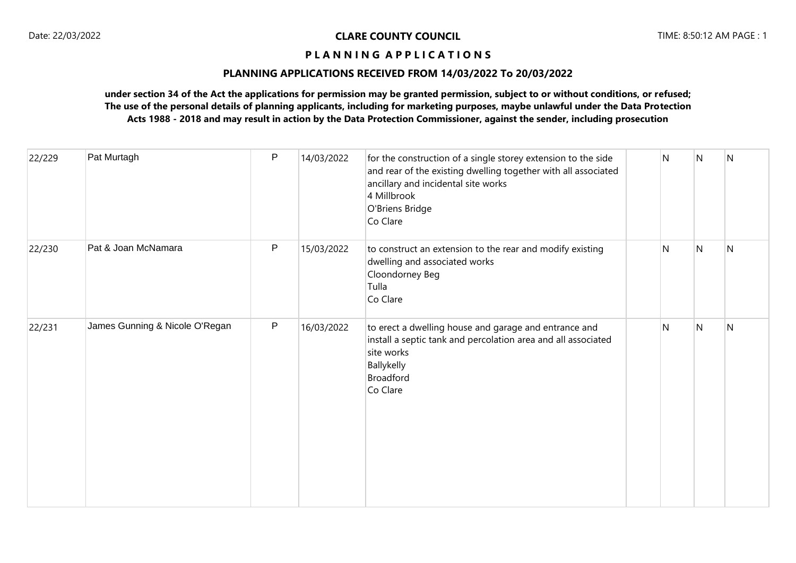## **PLANNING APPLICATIONS RECEIVED FROM 14/03/2022 To 20/03/2022**

| 22/229 | Pat Murtagh                    | P | 14/03/2022 | for the construction of a single storey extension to the side<br>and rear of the existing dwelling together with all associated<br>ancillary and incidental site works<br>4 Millbrook<br>O'Briens Bridge<br>Co Clare | N            | N | N            |
|--------|--------------------------------|---|------------|----------------------------------------------------------------------------------------------------------------------------------------------------------------------------------------------------------------------|--------------|---|--------------|
| 22/230 | Pat & Joan McNamara            | P | 15/03/2022 | to construct an extension to the rear and modify existing<br>dwelling and associated works<br>Cloondorney Beg<br>Tulla<br>Co Clare                                                                                   | $\mathsf{N}$ | N | $\mathsf{N}$ |
| 22/231 | James Gunning & Nicole O'Regan | P | 16/03/2022 | to erect a dwelling house and garage and entrance and<br>install a septic tank and percolation area and all associated<br>site works<br>Ballykelly<br><b>Broadford</b><br>Co Clare                                   | N            | N | N            |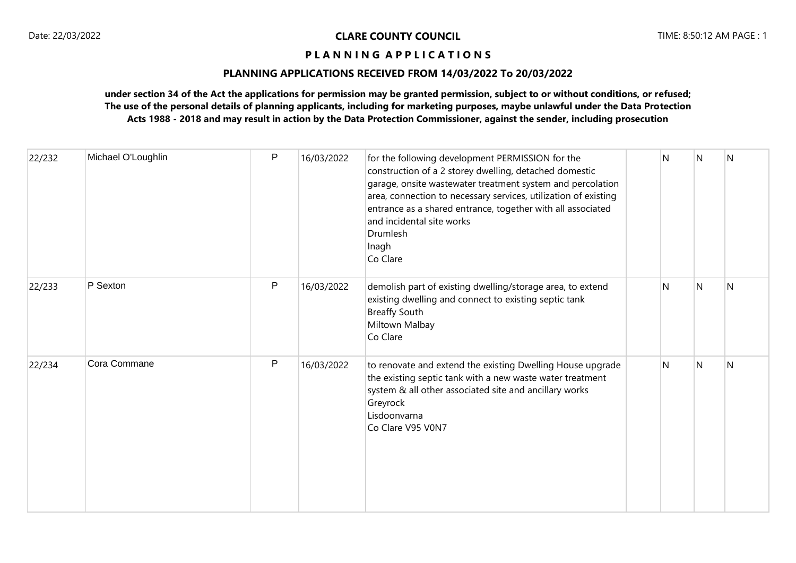# **PLANNING APPLICATIONS RECEIVED FROM 14/03/2022 To 20/03/2022**

| 22/232 | Michael O'Loughlin | P            | 16/03/2022 | for the following development PERMISSION for the<br>construction of a 2 storey dwelling, detached domestic<br>garage, onsite wastewater treatment system and percolation<br>area, connection to necessary services, utilization of existing<br>entrance as a shared entrance, together with all associated<br>and incidental site works<br>Drumlesh<br>Inagh<br>Co Clare | N | N | N |
|--------|--------------------|--------------|------------|--------------------------------------------------------------------------------------------------------------------------------------------------------------------------------------------------------------------------------------------------------------------------------------------------------------------------------------------------------------------------|---|---|---|
| 22/233 | P Sexton           | $\mathsf{P}$ | 16/03/2022 | demolish part of existing dwelling/storage area, to extend<br>existing dwelling and connect to existing septic tank<br><b>Breaffy South</b><br>Miltown Malbay<br>Co Clare                                                                                                                                                                                                | N | N | N |
| 22/234 | Cora Commane       | P            | 16/03/2022 | to renovate and extend the existing Dwelling House upgrade<br>the existing septic tank with a new waste water treatment<br>system & all other associated site and ancillary works<br>Greyrock<br>Lisdoonvarna<br>Co Clare V95 V0N7                                                                                                                                       | N | N | N |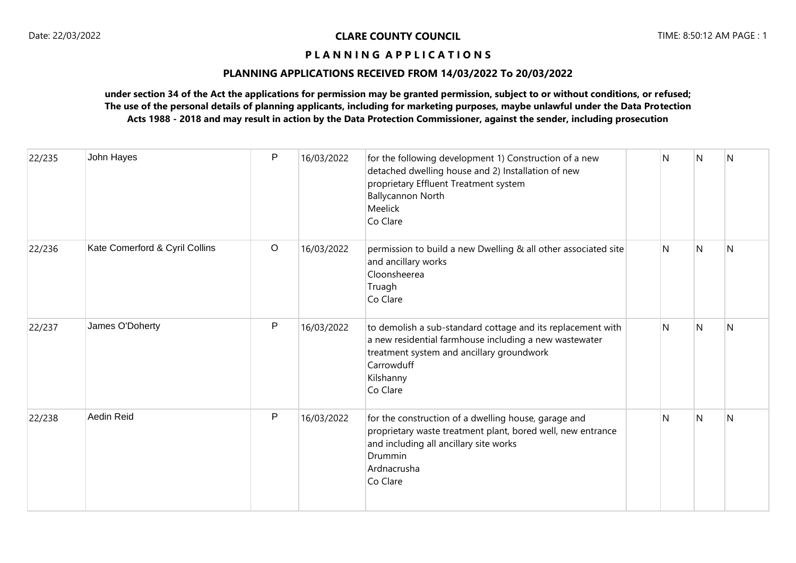### **PLANNING APPLICATIONS RECEIVED FROM 14/03/2022 To 20/03/2022**

| 22/235 | John Hayes                     | P       | 16/03/2022 | for the following development 1) Construction of a new<br>detached dwelling house and 2) Installation of new<br>proprietary Effluent Treatment system<br><b>Ballycannon North</b><br>Meelick<br>Co Clare  | N            | N            | $\overline{N}$ |
|--------|--------------------------------|---------|------------|-----------------------------------------------------------------------------------------------------------------------------------------------------------------------------------------------------------|--------------|--------------|----------------|
| 22/236 | Kate Comerford & Cyril Collins | $\circ$ | 16/03/2022 | permission to build a new Dwelling & all other associated site<br>and ancillary works<br>Cloonsheerea<br>Truagh<br>Co Clare                                                                               | $\mathsf{N}$ | N            | IN.            |
| 22/237 | James O'Doherty                | P       | 16/03/2022 | to demolish a sub-standard cottage and its replacement with<br>a new residential farmhouse including a new wastewater<br>treatment system and ancillary groundwork<br>Carrowduff<br>Kilshanny<br>Co Clare | N            | N            | IN.            |
| 22/238 | <b>Aedin Reid</b>              | P       | 16/03/2022 | for the construction of a dwelling house, garage and<br>proprietary waste treatment plant, bored well, new entrance<br>and including all ancillary site works<br>Drummin<br>Ardnacrusha<br>Co Clare       | N            | <sup>N</sup> | N              |